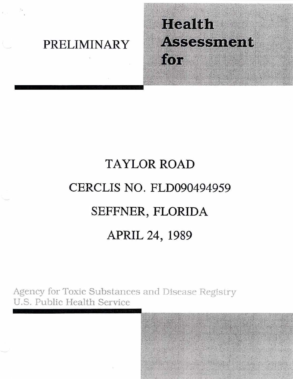### **PRELIMINARY**

## Health **Assessment** for

# TAYLOR ROAD **CERCLIS NO. FLD090494959 SEFFNER, FLORIDA APRIL 24, 1989**

Agency for Toxic Substances and Disease Registry U.S. Public Health Service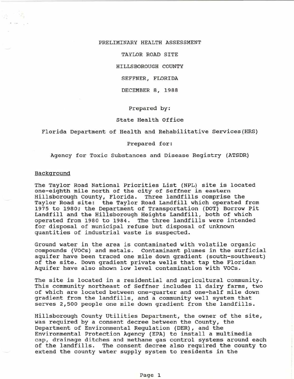#### PRELIMINARY HEALTH ASSESSMENT

--- --- -- -=~c--= ~------------ ----------------------------------------------------\_\_

TAYLOR ROAD SITE

HILLSBOROUGH COUNTY

SEFFNER, FLORIDA

DECEMBER 8, 1988

Prepared by:

#### state Health Office

Florida Department of Health and Rehabilitative services (HRS)

#### Prepared for:

Agency for Toxic Substances and Disease Registry (ATSDR)

#### Background

The Taylor Road National Priorities List (NPL) site is located one-eighth mile north of the city *ot* Seffner in eastern Hillsborough County, Florida. Three landfills comprise the Taylor Road site: the Taylor Road Landfill which operated from 1975 to 1980; the Department of Transportation (DOT) Borrow Pit Landfill and the Hillsborough Heights Landfill, both of which operated from 1980 to 1984. The three landfills were intended for disposal of municipal refuse but disposal of unknown quantities of industrial waste is suspected.

Ground water in the area is contaminated with volatile organic compounds (VOCs) and metals. Contaminant plumes in the surficial aquifer have been traced one mile down gradient (south-southwest) of the site. Down gradient private wells that tap the Floridan Aquifer have also shown low level contamination with VOCs.

The site is located in a residential and agricultural community. This community northeast of Seffner includes 11 dairy farms, two of which are located between one-quarter and one-half mile down gradient from the landfills, and a community well system that serves 2,500 people one mile down gradient from the landfills.

Hillsborough County Utilities Department, the owner of the site, was required by a consent decree between the County, the Department of Environmental Regulation (DER), and the Environmental Protection Agency (EPA) to install a multimedia cap, drainage ditches and methane gas control systems around each of the landfills. The consent decree also required the county to extend the county water supply system to residents in the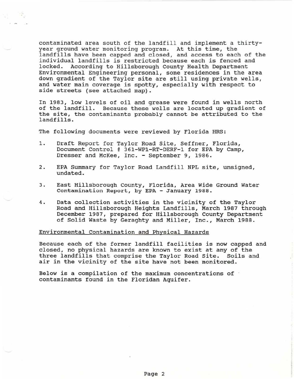contaminated area south of the landfill and implement a thirtyyear ground water monitoring program. At this time, the landfills have been capped and closed, and access to each of the individual landfills is restricted because each is fenced and locked. According to Hillsborough county Health Department Environmental Engineering personal, some residences *in* the area down gradient of the Taylor site are still using private wells, and water main coverage is spotty, especially with respect to side streets (see attached map) .

In 1983, low levels of oil and grease were found in wells north of the landfill. Because these wells are located up gradient of the site, the contaminants probably cannot be attributed to the landfills.

The following documents were reviewed by Florida HRS:

- 1. Draft Report for Taylor Road Site, Seffner, Florida, Document Control # 361-WP1-RT-DERF-1 for EPA by Camp, Dresser and McKee, Inc. - September 9, 1986.
- 2. EPA Summary for Taylor Road Landfill NPL site, unsigned, undated.
- 3. East Hillsborough County, Florida, Area wide Ground water contamination Report, by EPA - January 1988.
- 4. Data collection activities in the vicinity of the Taylor Road and Hillsborough Heights Landfills, March 1987 through December 1987, prepared for Hillsborough County Department of Solid waste by Geraghty and Miller, Inc., March 1988.

#### Environmental Contamination and Physical Hazards

Because each of the former landfill facilities is now capped and closed, no physical hazards are known to exist at any of the three landfills that comprise the Taylor Road Site. Soils and air in the vicinity of the site have not been monitored.

Below is a compilation of the maximum concentrations of contaminants found in the Floridan Aquifer.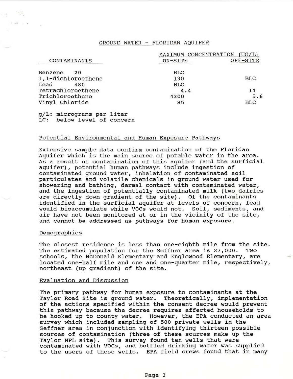#### GROUND WATER - FLORI DAN AQUIFER

|                    | MAXIMUM CONCENTRATION | (UG/L)     |
|--------------------|-----------------------|------------|
| CONTAMINANTS       | ON-SITE               | OFF-SITE   |
| Benzene<br>20      | BLC                   |            |
| 1,1-dichloroethene | 130                   | <b>BLC</b> |
| Lead<br>480        | <b>BLC</b>            |            |
| Tetrachloroethene  | 4.4                   | 14         |
| Trichloroethene    | 4300                  | 5.6        |
| Vinyl Chloride     | 85                    | <b>BLC</b> |

g/L: micrograms per liter LC: below level of concern

#### Potential Environmental and Human Exposure Pathways

Extensive sample data confirm contamination of the Floridan Aquifer which is the main source of potable water in the area. As a result of contamination of this aquifer (and the surficial aquifer), potential human pathways include ingestion of contaminated ground water, inhalation of contaminated soil particulates and volatile chemicals in ground water used for showering and bathing, dermal contact with contaminated water, and the ingestion of potentially contaminated milk (two dairies are directly down gradient of the site). Of the contaminants identified in the surficial aquifer at levels of concern, lead would bioaccumulate while VOCs would not. Soil, sediments, and air have not been monitored at or in the vicinity of the site, and cannot be addressed as pathways for human exposure.

#### Demographics

The closest residence is less than one-eighth mile from the site.<br>The estimated population for the Seffner area is 27,000. Two The estimated population for the Seffner area is 27,000. schools, the McDonald- Elementary and Englewood Elementary, are located one-half mile and one and one-quarter mile, respectively, northeast (up gradient) of the site.

#### Evaluation and Discussion

The primary pathway for human exposure to contaminants at the Taylor Road site is ground water. Theoretically, implementation of the actions specified within the consent decree would prevent this pathway because the decree requires affected households to be hooked up to county water. However, the EPA conducted an area survey which included sampling of 500 private wells in the Seffner area in conjunction with identifying thirteen possible sources of contamination (three of these sources make up the Taylor NPL site). This survey found ten wells that were contaminated with VOCs, and bottled drinking water was supplied to the users of these wells. EPA field crews found that in many